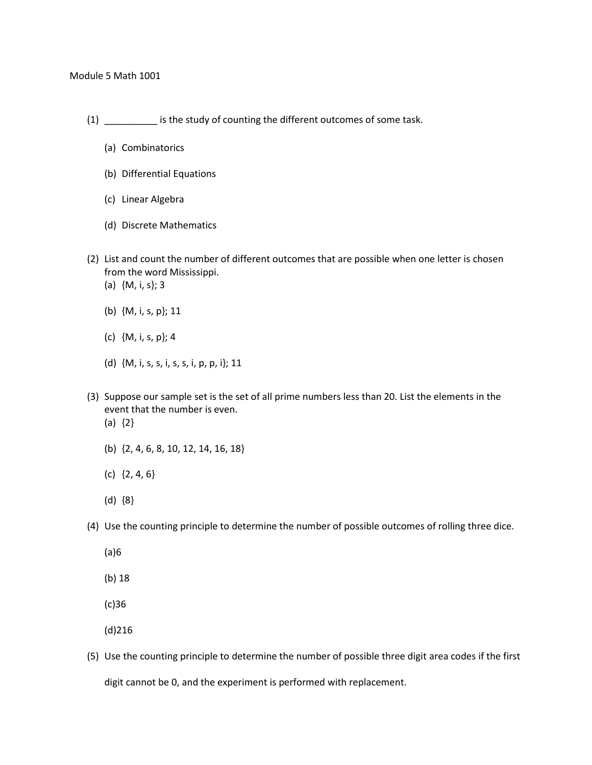- (1) \_\_\_\_\_\_\_\_\_\_ is the study of counting the different outcomes of some task.
	- (a) Combinatorics
	- (b) Differential Equations
	- (c) Linear Algebra
	- (d) Discrete Mathematics
- (2) List and count the number of different outcomes that are possible when one letter is chosen from the word Mississippi.
	- (a) {M, i, s}; 3
	- (b) {M, i, s, p}; 11
	- (c) {M, i, s, p}; 4
	- (d) {M, i, s, s, i, s, s, i, p, p, i}; 11
- (3) Suppose our sample set is the set of all prime numbers less than 20. List the elements in the event that the number is even. (a) {2}
	- (b) {2, 4, 6, 8, 10, 12, 14, 16, 18}
	- (c) {2, 4, 6}
	- (d) {8}
- (4) Use the counting principle to determine the number of possible outcomes of rolling three dice.
	- (a)6
	- (b) 18
	- (c)36

(d)216

(5) Use the counting principle to determine the number of possible three digit area codes if the first digit cannot be 0, and the experiment is performed with replacement.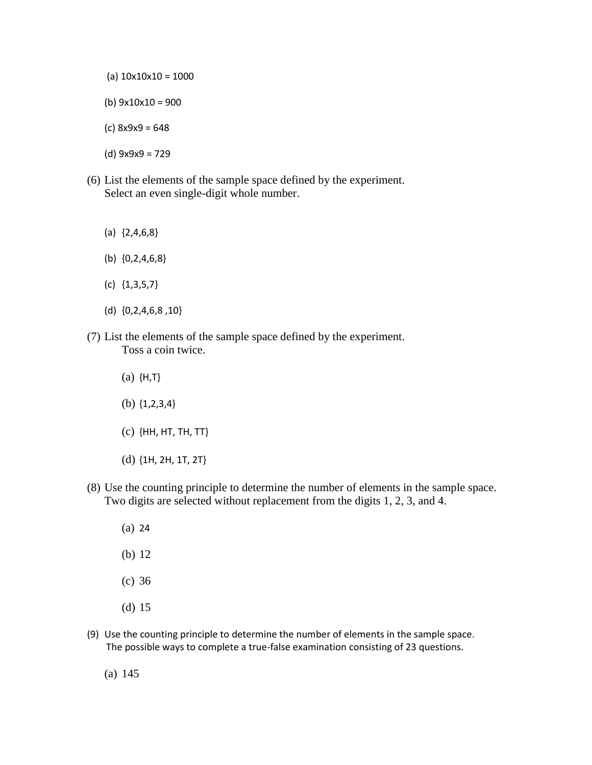- (a)  $10x10x10 = 1000$
- (b) 9x10x10 = 900
- (c) 8x9x9 = 648
- (d) 9x9x9 = 729
- (6) List the elements of the sample space defined by the experiment. Select an even single-digit whole number.
	- (a) {2,4,6,8}
	- (b) {0,2,4,6,8}
	- (c) {1,3,5,7}
	- (d) {0,2,4,6,8 ,10}
- (7) List the elements of the sample space defined by the experiment. Toss a coin twice.
	- (a) {H,T}
	- (b) {1,2,3,4}
	- (c) {HH, HT, TH, TT}
	- (d) {1H, 2H, 1T, 2T}
- (8) Use the counting principle to determine the number of elements in the sample space. Two digits are selected without replacement from the digits 1, 2, 3, and 4.
	- (a) 24 (b) 12 (c) 36 (d) 15
- (9) Use the counting principle to determine the number of elements in the sample space. The possible ways to complete a true-false examination consisting of 23 questions.
	- (a) 145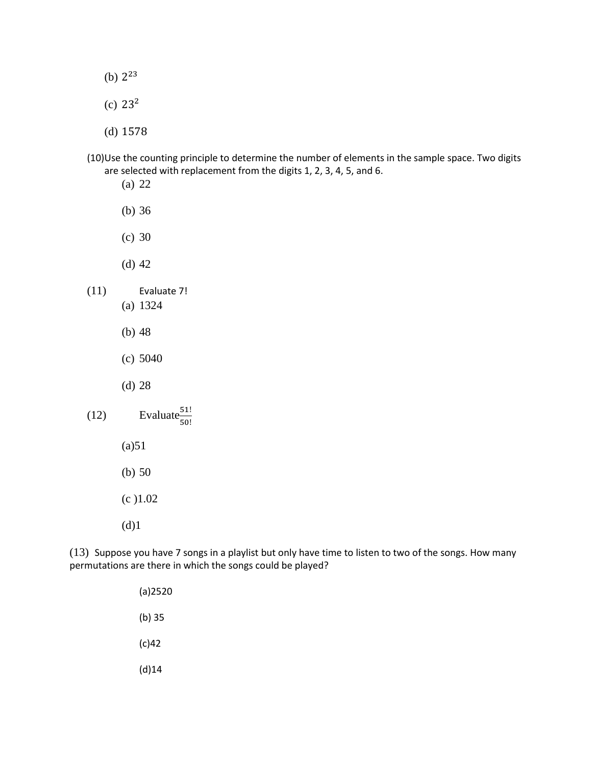- (b)  $2^{23}$
- (c)  $23^2$
- (d) 1578
- (10)Use the counting principle to determine the number of elements in the sample space. Two digits are selected with replacement from the digits 1, 2, 3, 4, 5, and 6.
	- (a) 22
	- (b) 36
	- (c) 30
	- (d) 42
- (11) Evaluate 7!
	- (a) 1324
	- (b) 48
	- (c) 5040
	- (d) 28
- (12) Evaluate $\frac{51!}{50!}$ 
	- $(a)51$
	- (b) 50
	- (c )1.02
	- (d)1

(13) Suppose you have 7 songs in a playlist but only have time to listen to two of the songs. How many permutations are there in which the songs could be played?

> (a)2520 (b) 35 (c)42 (d)14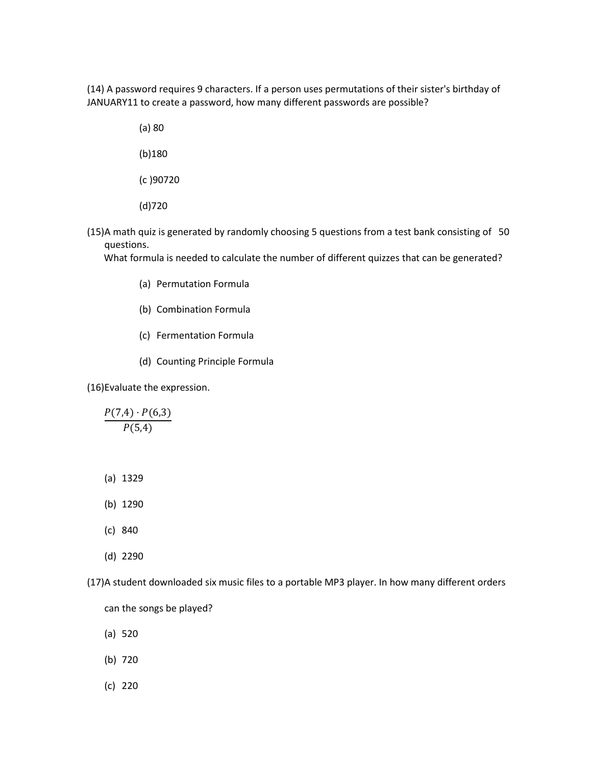(14) A password requires 9 characters. If a person uses permutations of their sister's birthday of JANUARY11 to create a password, how many different passwords are possible?

> (a) 80 (b)180

(c )90720

(d)720

(15)A math quiz is generated by randomly choosing 5 questions from a test bank consisting of 50 questions.

What formula is needed to calculate the number of different quizzes that can be generated?

- (a) Permutation Formula
- (b) Combination Formula
- (c) Fermentation Formula
- (d) Counting Principle Formula

(16)Evaluate the expression.

 $P(7,4) \cdot P(6,3)$  $P(5,4)$ 

(a) 1329

(b) 1290

(c) 840

(d) 2290

(17)A student downloaded six music files to a portable MP3 player. In how many different orders

can the songs be played?

- (a) 520
- (b) 720
- (c) 220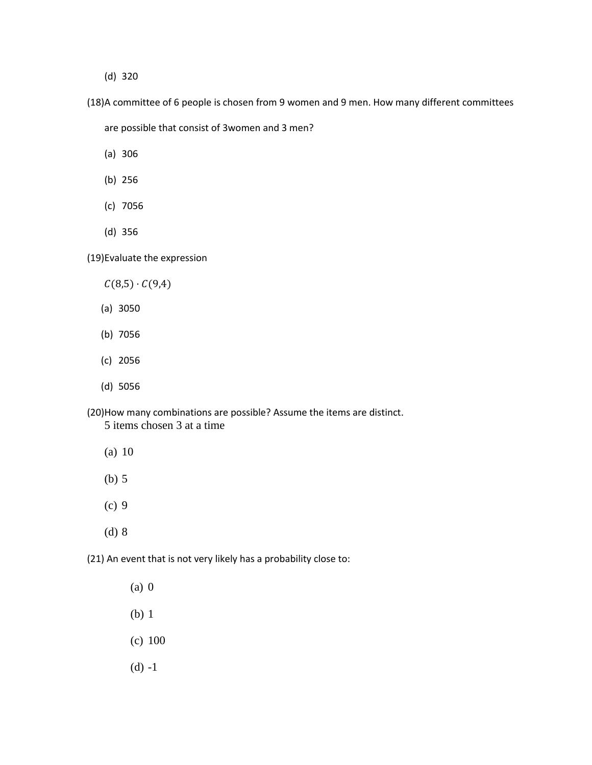(d) 320

(18)A committee of 6 people is chosen from 9 women and 9 men. How many different committees

are possible that consist of 3women and 3 men?

- (a) 306
- (b) 256
- (c) 7056
- (d) 356

(19)Evaluate the expression

- $C(8,5) \cdot C(9,4)$
- (a) 3050
- (b) 7056
- (c) 2056
- (d) 5056

(20)How many combinations are possible? Assume the items are distinct. 5 items chosen 3 at a time

- (a) 10
- (b) 5
- (c) 9
- (d) 8

(21) An event that is not very likely has a probability close to:

- (a) 0
- (b) 1
- (c) 100
- (d) -1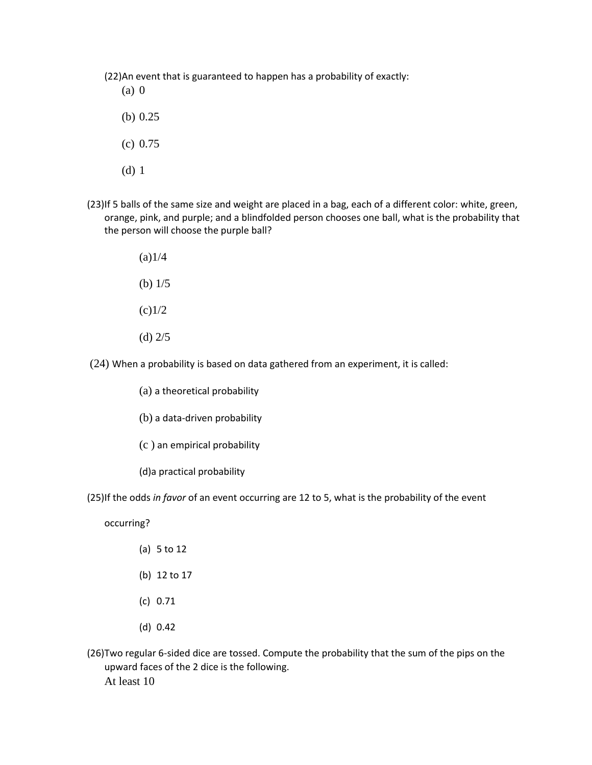(22)An event that is guaranteed to happen has a probability of exactly:

- (a) 0
- (b) 0.25
- (c) 0.75
- (d) 1
- (23)If 5 balls of the same size and weight are placed in a bag, each of a different color: white, green, orange, pink, and purple; and a blindfolded person chooses one ball, what is the probability that the person will choose the purple ball?
	- $(a)1/4$ (b) 1/5
	- $(c)$ 1/2
	- (d) 2/5
- (24) When a probability is based on data gathered from an experiment, it is called:
	- (a) a theoretical probability
	- (b) a data-driven probability
	- (c ) an empirical probability
	- (d)a practical probability
- (25)If the odds *in favor* of an event occurring are 12 to 5, what is the probability of the event
	- occurring?
		- (a) 5 to 12
		- (b) 12 to 17
		- (c) 0.71
		- (d) 0.42
- (26)Two regular 6-sided dice are tossed. Compute the probability that the sum of the pips on the upward faces of the 2 dice is the following. At least 10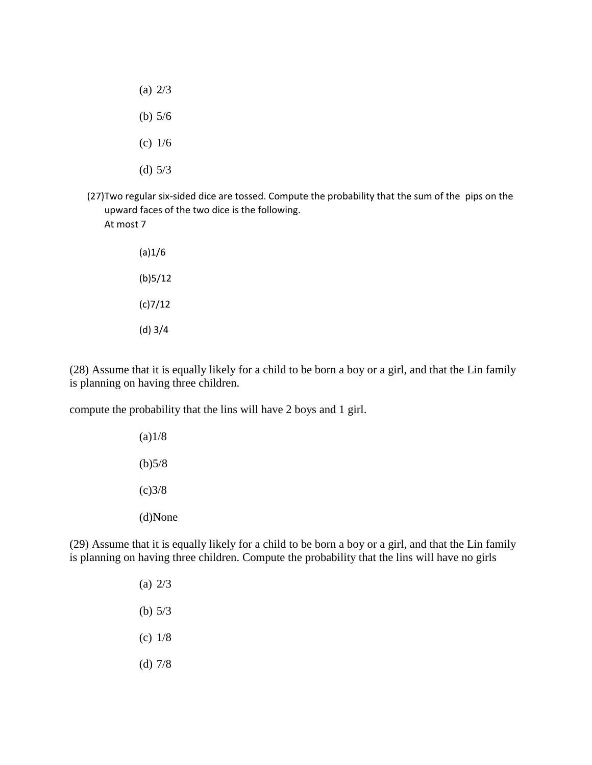- (a) 2/3 (b) 5/6 (c) 1/6 (d) 5/3
- (27)Two regular six-sided dice are tossed. Compute the probability that the sum of the pips on the upward faces of the two dice is the following. At most 7
	- (a)1/6 (b)5/12 (c)7/12 (d) 3/4

(28) Assume that it is equally likely for a child to be born a boy or a girl, and that the Lin family is planning on having three children.

compute the probability that the lins will have 2 boys and 1 girl.

 $(a)1/8$  $(b)5/8$  $(c)3/8$ (d)None

(29) Assume that it is equally likely for a child to be born a boy or a girl, and that the Lin family is planning on having three children. Compute the probability that the lins will have no girls

- (a) 2/3 (b) 5/3 (c) 1/8
- (d) 7/8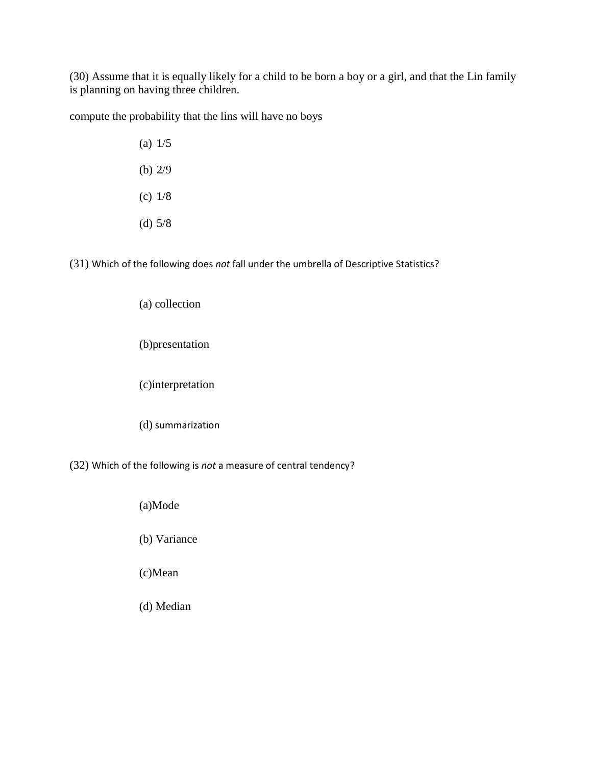(30) Assume that it is equally likely for a child to be born a boy or a girl, and that the Lin family is planning on having three children.

compute the probability that the lins will have no boys

(a) 1/5 (b) 2/9 (c) 1/8 (d) 5/8

(31) Which of the following does *not* fall under the umbrella of Descriptive Statistics?

## (a) collection

(b)presentation

(c)interpretation

(d) summarization

(32) Which of the following is *not* a measure of central tendency?

(a)Mode

(b) Variance

(c)Mean

(d) Median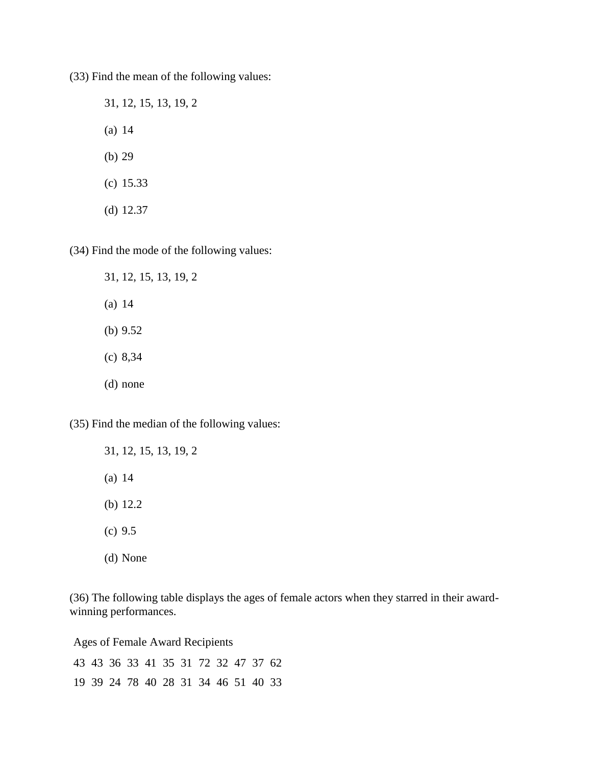(33) Find the mean of the following values:

31, 12, 15, 13, 19, 2 (a) 14 (b) 29 (c) 15.33 (d) 12.37

(34) Find the mode of the following values:

31, 12, 15, 13, 19, 2 (a) 14 (b) 9.52 (c) 8,34 (d) none

(35) Find the median of the following values:

31, 12, 15, 13, 19, 2 (a) 14 (b) 12.2 (c) 9.5 (d) None

(36) The following table displays the ages of female actors when they starred in their awardwinning performances.

Ages of Female Award Recipients

|  |  |  | 43 43 36 33 41 35 31 72 32 47 37 62 |  |  |
|--|--|--|-------------------------------------|--|--|
|  |  |  | 19 39 24 78 40 28 31 34 46 51 40 33 |  |  |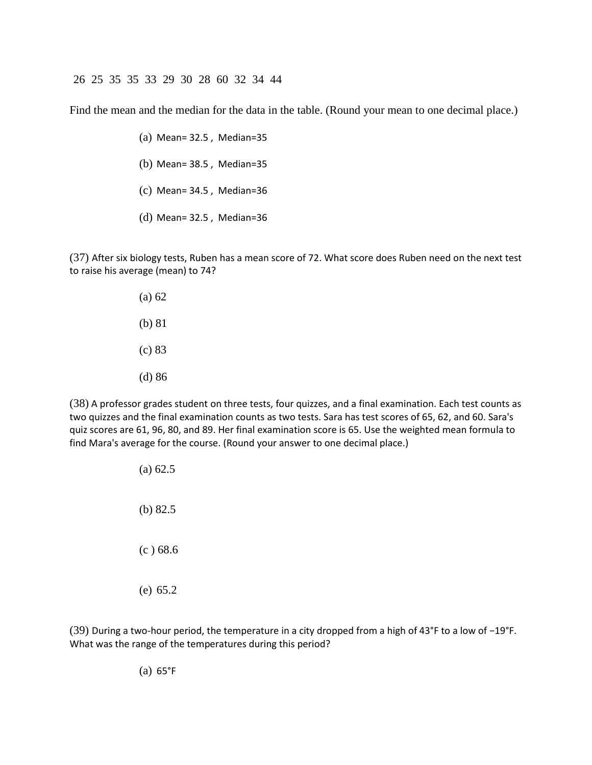26 25 35 35 33 29 30 28 60 32 34 44

Find the mean and the median for the data in the table. (Round your mean to one decimal place.)

- (a) Mean= 32.5 , Median=35
- (b) Mean= 38.5 , Median=35
- (c) Mean= 34.5 , Median=36
- (d) Mean= 32.5 , Median=36

(37) After six biology tests, Ruben has a mean score of 72. What score does Ruben need on the next test to raise his average (mean) to 74?

> (a) 62 (b) 81 (c) 83 (d) 86

(38) A professor grades student on three tests, four quizzes, and a final examination. Each test counts as two quizzes and the final examination counts as two tests. Sara has test scores of 65, 62, and 60. Sara's quiz scores are 61, 96, 80, and 89. Her final examination score is 65. Use the weighted mean formula to find Mara's average for the course. (Round your answer to one decimal place.)

> (a) 62.5 (b) 82.5 (c ) 68.6 (e) 65.2

(39) During a two-hour period, the temperature in a city dropped from a high of 43°F to a low of −19°F. What was the range of the temperatures during this period?

(a) 65°F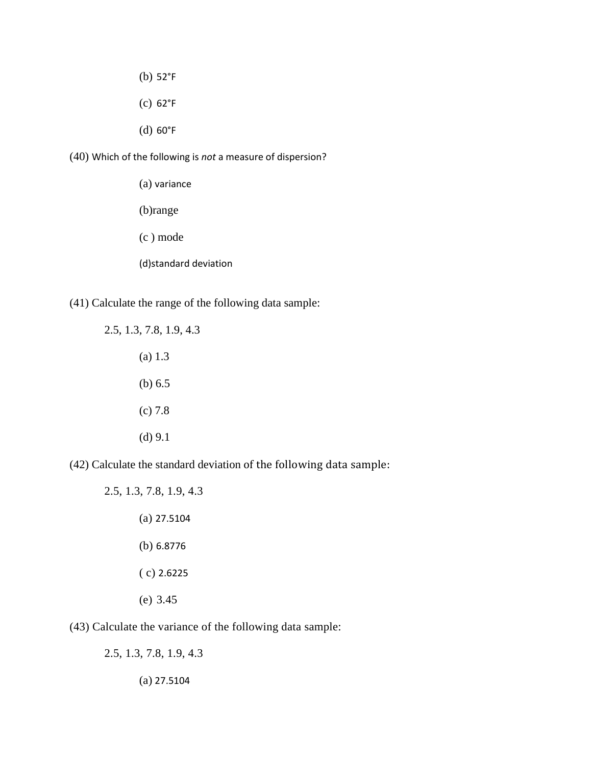- (b) 52°F
- (c) 62°F
- (d) 60°F

(40) Which of the following is *not* a measure of dispersion?

(a) variance (b)range (c ) mode (d)standard deviation

(41) Calculate the range of the following data sample:

2.5, 1.3, 7.8, 1.9, 4.3 (a) 1.3 (b) 6.5 (c) 7.8 (d) 9.1

(42) Calculate the standard deviation of the following data sample:

2.5, 1.3, 7.8, 1.9, 4.3 (a) 27.5104 (b) 6.8776 ( c) 2.6225 (e) 3.45

(43) Calculate the variance of the following data sample:

2.5, 1.3, 7.8, 1.9, 4.3 (a) 27.5104